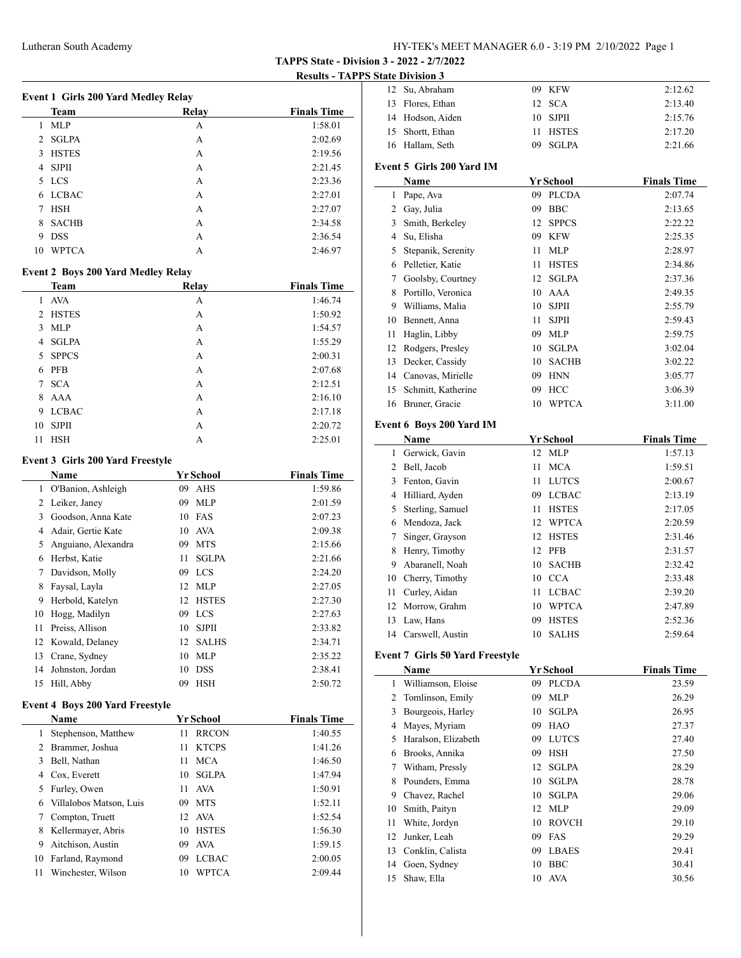**TAPPS State - Division 3 - 2022 - 2/7/2022**

**Results - TAPPS State Division 3**

| <b>Event 1 Girls 200 Yard Medley Relay</b> |              |       |                    |  |
|--------------------------------------------|--------------|-------|--------------------|--|
|                                            | <b>Team</b>  | Relay | <b>Finals Time</b> |  |
| 1                                          | <b>MLP</b>   | А     | 1:58.01            |  |
|                                            | 2 SGLPA      | А     | 2:02.69            |  |
| 3                                          | <b>HSTES</b> | А     | 2:19.56            |  |
| 4                                          | <b>SJPII</b> | А     | 2:21.45            |  |
|                                            | 5 LCS        | А     | 2:23.36            |  |
| 6                                          | <b>LCBAC</b> | А     | 2:27.01            |  |
| 7                                          | <b>HSH</b>   | А     | 2:27.07            |  |
| 8                                          | <b>SACHB</b> | А     | 2:34.58            |  |
| 9                                          | <b>DSS</b>   | А     | 2:36.54            |  |
| 10                                         | <b>WPTCA</b> | А     | 2:46.97            |  |

# **Event 2 Boys 200 Yard Medley Relay**

|                | <b>Team</b>  | Relay | <b>Finals Time</b> |
|----------------|--------------|-------|--------------------|
| 1              | <b>AVA</b>   | А     | 1:46.74            |
| $\mathfrak{D}$ | <b>HSTES</b> | А     | 1:50.92            |
| 3              | <b>MLP</b>   | А     | 1:54.57            |
| 4              | <b>SGLPA</b> | А     | 1:55.29            |
| 5              | <b>SPPCS</b> | А     | 2:00.31            |
| 6              | <b>PFB</b>   | А     | 2:07.68            |
| 7              | <b>SCA</b>   | А     | 2:12.51            |
| 8              | AAA          | А     | 2:16.10            |
| 9              | <b>LCBAC</b> | А     | 2:17.18            |
| 10             | <b>SJPII</b> | А     | 2:20.72            |
| 11             | <b>HSH</b>   | A     | 2:25.01            |

# **Event 3 Girls 200 Yard Freestyle**

|    | Name                |    | Yr School    | <b>Finals Time</b> |
|----|---------------------|----|--------------|--------------------|
| 1  | O'Banion, Ashleigh  | 09 | AHS          | 1:59.86            |
| 2  | Leiker, Janey       | 09 | <b>MLP</b>   | 2:01.59            |
| 3  | Goodson, Anna Kate  | 10 | FAS          | 2:07.23            |
| 4  | Adair, Gertie Kate  | 10 | AVA          | 2:09.38            |
| 5  | Anguiano, Alexandra | 09 | <b>MTS</b>   | 2:15.66            |
| 6  | Herbst, Katie       | 11 | <b>SGLPA</b> | 2:21.66            |
| 7  | Davidson, Molly     | 09 | <b>LCS</b>   | 2:24.20            |
| 8  | Faysal, Layla       | 12 | <b>MLP</b>   | 2:27.05            |
| 9  | Herbold, Katelyn    | 12 | <b>HSTES</b> | 2:27.30            |
| 10 | Hogg, Madilyn       | 09 | <b>LCS</b>   | 2:27.63            |
| 11 | Preiss, Allison     | 10 | <b>SJPII</b> | 2:33.82            |
| 12 | Kowald, Delaney     | 12 | <b>SALHS</b> | 2:34.71            |
| 13 | Crane, Sydney       | 10 | <b>MLP</b>   | 2:35.22            |
| 14 | Johnston, Jordan    | 10 | <b>DSS</b>   | 2:38.41            |
| 15 | Hill, Abby          | 09 | <b>HSH</b>   | 2:50.72            |
|    |                     |    |              |                    |

# **Event 4 Boys 200 Yard Freestyle**

 $\overline{a}$ 

|    | <b>Name</b>             |    | Yr School    | <b>Finals Time</b> |
|----|-------------------------|----|--------------|--------------------|
|    | Stephenson, Matthew     | 11 | <b>RRCON</b> | 1:40.55            |
|    | Brammer, Joshua         | 11 | <b>KTCPS</b> | 1:41.26            |
|    | Bell, Nathan            | 11 | <b>MCA</b>   | 1:46.50            |
| 4  | Cox, Everett            | 10 | SGLPA        | 1:47.94            |
| 5. | Furley, Owen            | 11 | AVA          | 1:50.91            |
| 6  | Villalobos Matson, Luis | 09 | <b>MTS</b>   | 1:52.11            |
|    | Compton, Truett         |    | 12 AVA       | 1:52.54            |
| 8  | Kellermayer, Abris      | 10 | <b>HSTES</b> | 1:56.30            |
| 9  | Aitchison, Austin       | 09 | AVA          | 1:59.15            |
| 10 | Farland, Raymond        | 09 | <b>LCBAC</b> | 2:00.05            |
| 11 | Winchester, Wilson      | 10 | <b>WPTCA</b> | 2:09.44            |

|      | 12<br>Su, Abraham                      | 09         | <b>KFW</b>                     | 2:12.62                       |
|------|----------------------------------------|------------|--------------------------------|-------------------------------|
|      | 13 Flores, Ethan                       | 12         | <b>SCA</b>                     | 2:13.40                       |
|      | 14 Hodson, Aiden                       | 10         | <b>SJPII</b>                   | 2:15.76                       |
|      | 15 Shortt, Ethan                       | 11         | <b>HSTES</b>                   | 2:17.20                       |
|      | 16 Hallam, Seth                        | 09         | <b>SGLPA</b>                   | 2:21.66                       |
|      |                                        |            |                                |                               |
|      | Event 5 Girls 200 Yard IM              |            |                                |                               |
|      | Name                                   |            | <b>Yr School</b>               | <b>Finals Time</b>            |
|      | 1 Pape, Ava                            |            | 09 PLCDA                       | 2:07.74                       |
|      | 2 Gay, Julia                           |            | 09 BBC                         | 2:13.65                       |
|      | 3 Smith, Berkeley                      | 12         | <b>SPPCS</b>                   | 2:22.22                       |
|      | 4 Su, Elisha                           | 09         | <b>KFW</b>                     | 2:25.35                       |
|      | 5 Stepanik, Serenity                   | 11         | MLP                            | 2:28.97                       |
|      | 6 Pelletier, Katie                     | 11         | <b>HSTES</b>                   | 2:34.86                       |
|      | 7 Goolsby, Courtney                    | 12         | SGLPA                          | 2:37.36                       |
|      | 8 Portillo, Veronica                   | 10         | AAA                            | 2:49.35                       |
|      | 9 Williams, Malia                      | 10         | <b>SJPII</b>                   | 2:55.79                       |
|      | 10 Bennett, Anna                       | 11.        | <b>SJPII</b>                   | 2:59.43                       |
|      | 11 Haglin, Libby                       |            | 09 MLP                         | 2:59.75                       |
|      | 12 Rodgers, Presley                    |            | 10 SGLPA                       | 3:02.04                       |
|      | 13 Decker, Cassidy                     | $10-10$    | <b>SACHB</b>                   | 3:02.22                       |
|      | 14 Canovas, Mirielle                   |            | 09 HNN                         | 3:05.77                       |
|      | 15 Schmitt, Katherine                  |            | 09 HCC                         | 3:06.39                       |
|      | 16 Bruner, Gracie                      | 10         | <b>WPTCA</b>                   | 3:11.00                       |
|      | Event 6 Boys 200 Yard IM               |            |                                |                               |
|      | Name                                   |            |                                |                               |
|      |                                        | 12         | <b>Yr School</b><br><b>MLP</b> | <b>Finals Time</b><br>1:57.13 |
|      | 1 Gerwick, Gavin<br>2 Bell, Jacob      | 11         | MCA                            |                               |
|      | 3 Fenton, Gavin                        | 11 -       | <b>LUTCS</b>                   | 1:59.51<br>2:00.67            |
|      |                                        |            |                                |                               |
| 5    | 4 Hilliard, Ayden<br>Sterling, Samuel  | 09<br>11 - | <b>LCBAC</b>                   | 2:13.19                       |
|      |                                        |            | <b>HSTES</b>                   | 2:17.05                       |
|      |                                        |            |                                |                               |
|      | 6 Mendoza, Jack                        |            | 12 WPTCA                       | 2:20.59                       |
|      | 7 Singer, Grayson                      |            | 12 HSTES                       | 2:31.46                       |
|      | 8 Henry, Timothy                       |            | 12 PFB                         | 2:31.57                       |
|      | 9 Abaranell, Noah                      | 10         | <b>SACHB</b>                   | 2:32.42                       |
|      | 10 Cherry, Timothy                     |            | 10 CCA                         | 2:33.48                       |
| 11 - | Curley, Aidan                          | 11 -       | <b>LCBAC</b>                   | 2:39.20                       |
|      | 12 Morrow, Grahm                       |            | 10 WPTCA                       | 2:47.89                       |
|      | 13 Law, Hans                           |            | 09 HSTES                       | 2:52.36                       |
|      | 14 Carswell, Austin                    |            | 10 SALHS                       | 2:59.64                       |
|      | <b>Event 7 Girls 50 Yard Freestyle</b> |            |                                |                               |
|      | Name                                   |            | <b>Yr School</b>               | <b>Finals Time</b>            |
| 1    | Williamson, Eloise                     | 09         | <b>PLCDA</b>                   | 23.59                         |
| 2    | Tomlinson, Emily                       | 09         | <b>MLP</b>                     | 26.29                         |
|      | 3 Bourgeois, Harley                    | 10         | SGLPA                          | 26.95                         |
|      | 4 Mayes, Myriam                        | 09         | HAO                            | 27.37                         |
|      | 5 Haralson, Elizabeth                  |            | 09 LUTCS                       | 27.40                         |
|      | 6 Brooks, Annika                       | 09         | HSH                            | 27.50                         |
|      | 7 Witham, Pressly                      | 12         | SGLPA                          | 28.29                         |
| 8    | Pounders, Emma                         | 10         | SGLPA                          | 28.78                         |
| 9    | Chavez, Rachel                         | 10         | SGLPA                          | 29.06                         |
| 10   | Smith, Paityn                          | 12         | <b>MLP</b>                     | 29.09                         |
| 11   | White, Jordyn                          | 10         | ROVCH                          | 29.10                         |
| 12   | Junker, Leah                           | 09         | FAS                            | 29.29                         |
| 13   | Conklin, Calista                       | 09         | <b>LBAES</b>                   | 29.41                         |
| 14   | Goen, Sydney                           | 10         | <b>BBC</b>                     | 30.41                         |
| 15   | Shaw, Ella                             | 10         | <b>AVA</b>                     | 30.56                         |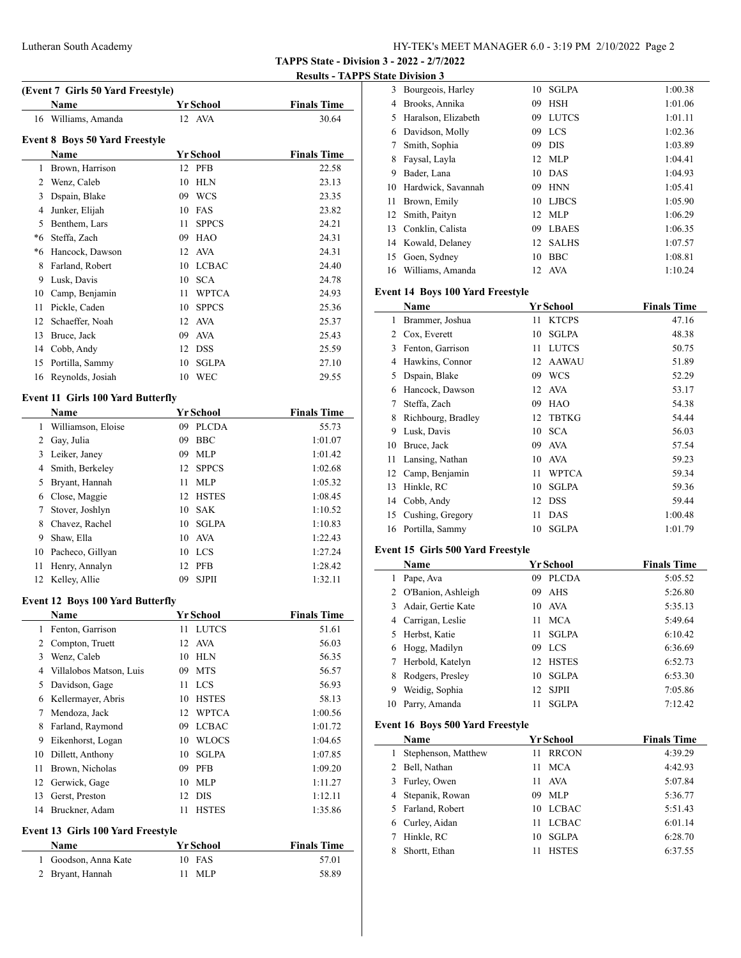# Lutheran South Academy HY-TEK's MEET MANAGER 6.0 - 3:19 PM 2/10/2022 Page 2

**TAPPS State - Division 3 - 2022 - 2/7/2022**

**Results - TAPPS State Division 3**

|                                       | (Event 7 Girls 50 Yard Freestyle)        |                    |                    |  |  |  |  |
|---------------------------------------|------------------------------------------|--------------------|--------------------|--|--|--|--|
|                                       | Name                                     | <b>Yr School</b>   | <b>Finals Time</b> |  |  |  |  |
| 16                                    | Williams, Amanda                         | 12 AVA             | 30.64              |  |  |  |  |
| <b>Event 8 Boys 50 Yard Freestyle</b> |                                          |                    |                    |  |  |  |  |
|                                       | <b>Name</b>                              | <b>Yr School</b>   | <b>Finals Time</b> |  |  |  |  |
| 1                                     | Brown, Harrison                          | 12<br><b>PFB</b>   | 22.58              |  |  |  |  |
|                                       | 2 Wenz, Caleb                            | 10<br><b>HLN</b>   | 23.13              |  |  |  |  |
|                                       | 3 Dspain, Blake                          | 09 WCS             | 23.35              |  |  |  |  |
|                                       | 4 Junker, Elijah                         | 10<br>FAS          | 23.82              |  |  |  |  |
|                                       | 5 Benthem, Lars                          | 11<br><b>SPPCS</b> | 24.21              |  |  |  |  |
|                                       | *6 Steffa, Zach                          | 09 HAO             | 24.31              |  |  |  |  |
|                                       | *6 Hancock, Dawson                       | 12 AVA             | 24.31              |  |  |  |  |
|                                       | 8 Farland, Robert                        | 10 LCBAC           | 24.40              |  |  |  |  |
|                                       | 9 Lusk, Davis                            | <b>SCA</b><br>10   | 24.78              |  |  |  |  |
|                                       | 10 Camp, Benjamin                        | 11<br><b>WPTCA</b> | 24.93              |  |  |  |  |
| 11                                    | Pickle, Caden                            | 10 SPPCS           | 25.36              |  |  |  |  |
| 12                                    | Schaeffer, Noah                          | 12<br><b>AVA</b>   | 25.37              |  |  |  |  |
| 13                                    | Bruce, Jack                              | <b>AVA</b><br>09   | 25.43              |  |  |  |  |
|                                       | 14 Cobb, Andy                            | <b>DSS</b><br>12   | 25.59              |  |  |  |  |
| 15                                    | Portilla, Sammy                          | <b>SGLPA</b><br>10 | 27.10              |  |  |  |  |
| 16                                    | Reynolds, Josiah                         | 10<br>WEC          | 29.55              |  |  |  |  |
|                                       | <b>Event 11 Girls 100 Yard Butterfly</b> |                    |                    |  |  |  |  |
|                                       | Name                                     | Yr School          | <b>Finals Time</b> |  |  |  |  |
|                                       | 1 Williamson, Eloise                     | 09 PLCDA           | 55.73              |  |  |  |  |
|                                       | 2 Gay, Julia                             | 09<br><b>BBC</b>   | 1:01.07            |  |  |  |  |
|                                       | 3 Leiker, Janey                          | 09<br><b>MLP</b>   | 1:01.42            |  |  |  |  |
| $\overline{4}$                        | Smith, Berkeley                          | 12<br><b>SPPCS</b> | 1:02.68            |  |  |  |  |
| 5                                     | Bryant, Hannah                           | <b>MLP</b><br>11   | 1:05.32            |  |  |  |  |
|                                       | 6 Close, Maggie                          | 12 HSTES           | 1:08.45            |  |  |  |  |
| 7                                     | Stover, Joshlyn                          | <b>SAK</b><br>10   | 1:10.52            |  |  |  |  |
| 8                                     | Chavez, Rachel                           | 10<br><b>SGLPA</b> | 1:10.83            |  |  |  |  |
|                                       | 9 Shaw, Ella                             | AVA<br>10          | 1:22.43            |  |  |  |  |
| 10                                    | Pacheco, Gillyan                         | 10 LCS             | 1:27.24            |  |  |  |  |
| 11                                    | Henry, Annalyn                           | <b>PFB</b><br>12   | 1:28.42            |  |  |  |  |
| 12                                    | Kelley, Allie                            | 09<br><b>SJPII</b> | 1:32.11            |  |  |  |  |
|                                       | <b>Event 12 Boys 100 Yard Butterfly</b>  |                    |                    |  |  |  |  |
|                                       | Name                                     | Yr School          | <b>Finals Time</b> |  |  |  |  |
| 1                                     | Fenton, Garrison                         | <b>LUTCS</b><br>11 | 51.61              |  |  |  |  |
| 2                                     | Compton, Truett                          | 12<br><b>AVA</b>   | 56.03              |  |  |  |  |
| 3                                     | Wenz, Caleb                              | 10<br><b>HLN</b>   | 56.35              |  |  |  |  |
|                                       | 4 Villalobos Matson, Luis                | 09<br><b>MTS</b>   | 56.57              |  |  |  |  |
| 5                                     | Davidson, Gage                           | <b>LCS</b><br>11   | 56.93              |  |  |  |  |
|                                       | 6 Kellermayer, Abris                     | <b>HSTES</b><br>10 | 58.13              |  |  |  |  |
| 7                                     | Mendoza, Jack                            | <b>WPTCA</b><br>12 | 1:00.56            |  |  |  |  |
| 8                                     | Farland, Raymond                         | 09 LCBAC           | 1:01.72            |  |  |  |  |
| 9                                     | Eikenhorst, Logan                        | 10 WLOCS           | 1:04.65            |  |  |  |  |
| 10                                    | Dillett, Anthony                         | <b>SGLPA</b><br>10 | 1:07.85            |  |  |  |  |
| 11                                    | Brown, Nicholas                          | 09 PFB             | 1:09.20            |  |  |  |  |
| 12                                    | Gerwick, Gage                            | 10 MLP             | 1:11.27            |  |  |  |  |
| 13                                    | Gerst, Preston                           | 12<br>DIS          | 1:12.11            |  |  |  |  |
| 14                                    | Bruckner, Adam                           | 11<br><b>HSTES</b> | 1:35.86            |  |  |  |  |
|                                       | Event 13 Girls 100 Yard Freestyle        |                    |                    |  |  |  |  |
|                                       | Name                                     | <b>Yr School</b>   | <b>Finals Time</b> |  |  |  |  |
| 1                                     | Goodson, Anna Kate                       | FAS<br>10          | 57.01              |  |  |  |  |
| $\overline{2}$                        | Bryant, Hannah                           | <b>MLP</b><br>11   | 58.89              |  |  |  |  |

|    | иш глизин г         |    |              |         |
|----|---------------------|----|--------------|---------|
| 3  | Bourgeois, Harley   | 10 | <b>SGLPA</b> | 1:00.38 |
| 4  | Brooks, Annika      | 09 | <b>HSH</b>   | 1:01.06 |
| 5  | Haralson, Elizabeth | 09 | <b>LUTCS</b> | 1:01.11 |
| 6  | Davidson, Molly     |    | 09 LCS       | 1:02.36 |
| 7  | Smith, Sophia       | 09 | <b>DIS</b>   | 1:03.89 |
| 8  | Faysal, Layla       |    | 12 MLP       | 1:04.41 |
| 9  | Bader, Lana         |    | 10 DAS       | 1:04.93 |
| 10 | Hardwick, Savannah  | 09 | <b>HNN</b>   | 1:05.41 |
| 11 | Brown, Emily        |    | 10 LJBCS     | 1:05.90 |
| 12 | Smith, Paityn       |    | 12 MLP       | 1:06.29 |
| 13 | Conklin, Calista    | 09 | <b>LBAES</b> | 1:06.35 |
| 14 | Kowald, Delaney     | 12 | <b>SALHS</b> | 1:07.57 |
| 15 | Goen, Sydney        | 10 | <b>BBC</b>   | 1:08.81 |
| 16 | Williams, Amanda    | 12 | AVA          | 1:10.24 |
|    |                     |    |              |         |

# **Event 14 Boys 100 Yard Freestyle**

|    | Name               |    | Yr School    | <b>Finals Time</b> |
|----|--------------------|----|--------------|--------------------|
| 1  | Brammer, Joshua    | 11 | <b>KTCPS</b> | 47.16              |
| 2  | Cox, Everett       | 10 | <b>SGLPA</b> | 48.38              |
| 3  | Fenton, Garrison   | 11 | <b>LUTCS</b> | 50.75              |
| 4  | Hawkins, Connor    | 12 | AAWAU        | 51.89              |
| 5  | Dspain, Blake      | 09 | <b>WCS</b>   | 52.29              |
| 6  | Hancock, Dawson    | 12 | <b>AVA</b>   | 53.17              |
| 7  | Steffa, Zach       | 09 | HAO          | 54.38              |
| 8  | Richbourg, Bradley | 12 | <b>TBTKG</b> | 54.44              |
| 9  | Lusk, Davis        | 10 | <b>SCA</b>   | 56.03              |
| 10 | Bruce, Jack        | 09 | <b>AVA</b>   | 57.54              |
| 11 | Lansing, Nathan    | 10 | <b>AVA</b>   | 59.23              |
| 12 | Camp, Benjamin     | 11 | <b>WPTCA</b> | 59.34              |
| 13 | Hinkle, RC         | 10 | <b>SGLPA</b> | 59.36              |
| 14 | Cobb, Andy         | 12 | <b>DSS</b>   | 59.44              |
| 15 | Cushing, Gregory   | 11 | <b>DAS</b>   | 1:00.48            |
| 16 | Portilla, Sammy    | 10 | <b>SGLPA</b> | 1:01.79            |
|    |                    |    |              |                    |

# **Event 15 Girls 500 Yard Freestyle**

|    | <b>Name</b>          |     | <b>Yr School</b> | <b>Finals Time</b> |
|----|----------------------|-----|------------------|--------------------|
|    | Pape, Ava            | 09  | <b>PLCDA</b>     | 5:05.52            |
|    | 2 O'Banion, Ashleigh | 09. | AHS              | 5:26.80            |
| 3. | Adair, Gertie Kate   |     | 10 AVA           | 5:35.13            |
|    | 4 Carrigan, Leslie   | 11  | <b>MCA</b>       | 5:49.64            |
|    | 5 Herbst, Katie      | 11  | <b>SGLPA</b>     | 6:10.42            |
|    | 6 Hogg, Madilyn      |     | 09 LCS           | 6:36.69            |
| 7  | Herbold, Katelyn     | 12. | <b>HSTES</b>     | 6:52.73            |
| 8  | Rodgers, Presley     | 10. | <b>SGLPA</b>     | 6:53.30            |
| 9  | Weidig, Sophia       |     | 12 SJPII         | 7:05.86            |
| 10 | Parry, Amanda        | 11  | <b>SGLPA</b>     | 7:12.42            |

# **Event 16 Boys 500 Yard Freestyle**

|   | Name                | <b>Yr School</b>   | <b>Finals Time</b> |
|---|---------------------|--------------------|--------------------|
|   | Stephenson, Matthew | <b>RRCON</b><br>11 | 4:39.29            |
|   | 2 Bell, Nathan      | <b>MCA</b><br>11   | 4:42.93            |
|   | 3 Furley, Owen      | AVA<br>11          | 5:07.84            |
|   | 4 Stepanik, Rowan   | 09 MLP             | 5:36.77            |
|   | 5 Farland, Robert   | 10 LCBAC           | 5:51.43            |
|   | 6 Curley, Aidan     | <b>LCBAC</b><br>11 | 6:01.14            |
| 7 | Hinkle, RC          | <b>SGLPA</b><br>10 | 6:28.70            |
|   | Shortt, Ethan       | <b>HSTES</b>       | 6:37.55            |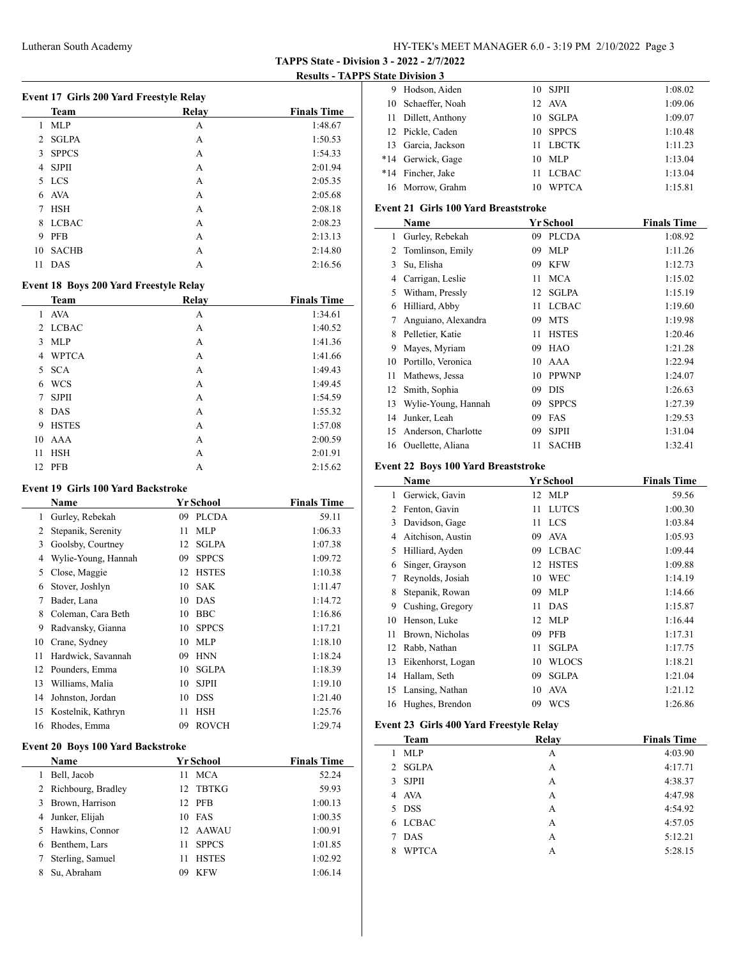**TAPPS State - Division 3 - 2022 - 2/7/2022**

**Results - TAPPS State Division 3**

 $\overline{\phantom{a}}$ 

|             | <b>Team</b>  | Relay | <b>Finals Time</b> |
|-------------|--------------|-------|--------------------|
| 1           | MLP          | А     | 1:48.67            |
| $2^{\circ}$ | <b>SGLPA</b> | A     | 1:50.53            |
| 3           | <b>SPPCS</b> | A     | 1:54.33            |
| 4           | <b>SJPII</b> | А     | 2:01.94            |
| 5.          | <b>LCS</b>   | А     | 2:05.35            |
| 6           | AVA          | А     | 2:05.68            |
| 7           | <b>HSH</b>   | A     | 2:08.18            |
| 8           | <b>LCBAC</b> | A     | 2:08.23            |
| 9           | <b>PFB</b>   | A     | 2:13.13            |
| 10          | <b>SACHB</b> | А     | 2:14.80            |
| 11          | <b>DAS</b>   | A     | 2:16.56            |
|             |              |       |                    |

# **Event 18 Boys 200 Yard Freestyle Relay**

|    | <b>Team</b>  | <b>Relay</b> | <b>Finals Time</b> |
|----|--------------|--------------|--------------------|
| 1  | <b>AVA</b>   | А            | 1:34.61            |
|    | 2 LCBAC      | А            | 1:40.52            |
| 3  | <b>MLP</b>   | А            | 1:41.36            |
| 4  | <b>WPTCA</b> | А            | 1:41.66            |
| 5. | <b>SCA</b>   | А            | 1:49.43            |
| 6  | <b>WCS</b>   | А            | 1:49.45            |
| 7  | <b>SJPII</b> | А            | 1:54.59            |
| 8  | DAS          | А            | 1:55.32            |
| 9  | <b>HSTES</b> | A            | 1:57.08            |
| 10 | AAA          | A            | 2:00.59            |
| 11 | <b>HSH</b>   | А            | 2:01.91            |
| 12 | PFB          | А            | 2:15.62            |

#### **Event 19 Girls 100 Yard Backstroke**

|    | <b>Name</b>         |    | Yr School    | <b>Finals Time</b> |  |
|----|---------------------|----|--------------|--------------------|--|
| 1  | Gurley, Rebekah     | 09 | <b>PLCDA</b> | 59.11              |  |
| 2  | Stepanik, Serenity  | 11 | <b>MLP</b>   | 1:06.33            |  |
| 3  | Goolsby, Courtney   | 12 | <b>SGLPA</b> | 1:07.38            |  |
| 4  | Wylie-Young, Hannah | 09 | <b>SPPCS</b> | 1:09.72            |  |
| 5  | Close, Maggie       | 12 | <b>HSTES</b> | 1:10.38            |  |
| 6  | Stover, Joshlyn     | 10 | <b>SAK</b>   | 1:11.47            |  |
| 7  | Bader, Lana         | 10 | <b>DAS</b>   | 1:14.72            |  |
| 8  | Coleman, Cara Beth  | 10 | <b>BBC</b>   | 1:16.86            |  |
| 9  | Radvansky, Gianna   | 10 | <b>SPPCS</b> | 1:17.21            |  |
| 10 | Crane, Sydney       | 10 | <b>MLP</b>   | 1:18.10            |  |
| 11 | Hardwick, Savannah  | 09 | <b>HNN</b>   | 1:18.24            |  |
| 12 | Pounders, Emma      | 10 | <b>SGLPA</b> | 1:18.39            |  |
| 13 | Williams, Malia     | 10 | <b>SJPII</b> | 1:19.10            |  |
| 14 | Johnston, Jordan    | 10 | <b>DSS</b>   | 1:21.40            |  |
| 15 | Kostelnik, Kathryn  | 11 | <b>HSH</b>   | 1:25.76            |  |
| 16 | Rhodes, Emma        | 09 | <b>ROVCH</b> | 1:29.74            |  |

### **Event 20 Boys 100 Yard Backstroke**

|   | <b>Name</b>          |                 | <b>Yr School</b> | <b>Finals Time</b> |
|---|----------------------|-----------------|------------------|--------------------|
|   | Bell, Jacob          | 11              | <b>MCA</b>       | 52.24              |
|   | 2 Richbourg, Bradley | 12 <sub>1</sub> | <b>TBTKG</b>     | 59.93              |
| 3 | Brown, Harrison      |                 | 12 PFB           | 1:00.13            |
|   | 4 Junker, Elijah     |                 | $10$ FAS         | 1:00.35            |
|   | 5 Hawkins, Connor    |                 | 12 AAWAU         | 1:00.91            |
| 6 | Benthem, Lars        | 11              | <b>SPPCS</b>     | 1:01.85            |
|   | Sterling, Samuel     | 11              | <b>HSTES</b>     | 1:02.92            |
| 8 | Su. Abraham          | 09              | <b>KFW</b>       | 1:06.14            |

|       | 9 Hodson, Aiden     |    | 10 SJPH      | 1:08.02 |
|-------|---------------------|----|--------------|---------|
| 10    | Schaeffer, Noah     |    | 12 AVA       | 1:09.06 |
|       | 11 Dillett, Anthony |    | 10 SGLPA     | 1:09.07 |
|       | 12 Pickle, Caden    |    | 10 SPPCS     | 1:10.48 |
| 13    | Garcia, Jackson     | 11 | <b>LBCTK</b> | 1:11.23 |
| $*14$ | Gerwick, Gage       |    | $10$ MLP     | 1:13.04 |
| $*14$ | Fincher, Jake       | 11 | <b>LCBAC</b> | 1:13.04 |
| 16    | Morrow, Grahm       | 10 | <b>WPTCA</b> | 1:15.81 |

# **Event 21 Girls 100 Yard Breaststroke**

| Name |                     |    | <b>Yr School</b> | <b>Finals Time</b> |  |
|------|---------------------|----|------------------|--------------------|--|
| 1    | Gurley, Rebekah     | 09 | <b>PLCDA</b>     | 1:08.92            |  |
| 2    | Tomlinson, Emily    | 09 | <b>MLP</b>       | 1:11.26            |  |
| 3    | Su, Elisha          | 09 | <b>KFW</b>       | 1:12.73            |  |
| 4    | Carrigan, Leslie    | 11 | <b>MCA</b>       | 1:15.02            |  |
| 5    | Witham, Pressly     | 12 | <b>SGLPA</b>     | 1:15.19            |  |
| 6    | Hilliard, Abby      | 11 | <b>LCBAC</b>     | 1:19.60            |  |
| 7    | Anguiano, Alexandra | 09 | <b>MTS</b>       | 1:19.98            |  |
| 8    | Pelletier, Katie    | 11 | <b>HSTES</b>     | 1:20.46            |  |
| 9    | Mayes, Myriam       | 09 | HAO              | 1:21.28            |  |
| 10   | Portillo, Veronica  | 10 | AAA              | 1:22.94            |  |
| 11   | Mathews, Jessa      | 10 | <b>PPWNP</b>     | 1:24.07            |  |
| 12   | Smith, Sophia       | 09 | <b>DIS</b>       | 1:26.63            |  |
| 13   | Wylie-Young, Hannah | 09 | <b>SPPCS</b>     | 1:27.39            |  |
| 14   | Junker, Leah        | 09 | FAS              | 1:29.53            |  |
| 15   | Anderson, Charlotte | 09 | <b>SJPII</b>     | 1:31.04            |  |
| 16   | Ouellette, Aliana   | 11 | <b>SACHB</b>     | 1:32.41            |  |

### **Event 22 Boys 100 Yard Breaststroke**

|    | Name              |    | Yr School    | <b>Finals Time</b> |
|----|-------------------|----|--------------|--------------------|
| 1  | Gerwick, Gavin    |    | 12 MLP       | 59.56              |
| 2  | Fenton, Gavin     | 11 | <b>LUTCS</b> | 1:00.30            |
| 3  | Davidson, Gage    | 11 | <b>LCS</b>   | 1:03.84            |
| 4  | Aitchison, Austin | 09 | <b>AVA</b>   | 1:05.93            |
| 5  | Hilliard, Ayden   | 09 | <b>LCBAC</b> | 1:09.44            |
| 6  | Singer, Grayson   | 12 | <b>HSTES</b> | 1:09.88            |
| 7  | Reynolds, Josiah  | 10 | <b>WEC</b>   | 1:14.19            |
| 8  | Stepanik, Rowan   | 09 | <b>MLP</b>   | 1:14.66            |
| 9  | Cushing, Gregory  | 11 | <b>DAS</b>   | 1:15.87            |
| 10 | Henson, Luke      | 12 | MLP          | 1:16.44            |
| 11 | Brown, Nicholas   | 09 | <b>PFB</b>   | 1:17.31            |
| 12 | Rabb, Nathan      | 11 | <b>SGLPA</b> | 1:17.75            |
| 13 | Eikenhorst, Logan | 10 | <b>WLOCS</b> | 1:18.21            |
| 14 | Hallam, Seth      | 09 | <b>SGLPA</b> | 1:21.04            |
| 15 | Lansing, Nathan   | 10 | <b>AVA</b>   | 1:21.12            |
| 16 | Hughes, Brendon   | 09 | <b>WCS</b>   | 1:26.86            |

# **Event 23 Girls 400 Yard Freestyle Relay**

| <b>Team</b>       | Relay | <b>Finals Time</b> |
|-------------------|-------|--------------------|
| MLP<br>1.         | А     | 4:03.90            |
| 2 SGLPA           | А     | 4:17.71            |
| 3 SJPH            | А     | 4:38.37            |
| 4 AVA             | А     | 4:47.98            |
| 5 DSS             | A     | 4:54.92            |
| 6 LCBAC           | A     | 4:57.05            |
| DAS<br>7          | А     | 5:12.21            |
| <b>WPTCA</b><br>8 | А     | 5:28.15            |